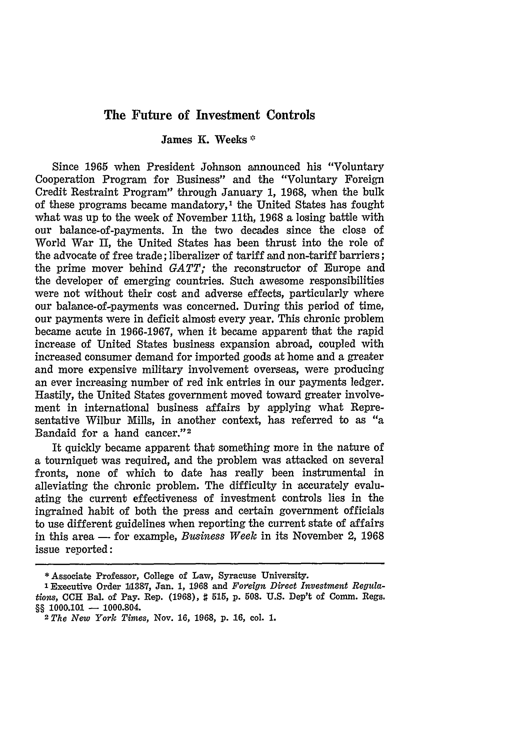## **The Future of Investment Controls**

## James **K.** Weeks **\***

Since 1965 when President Johnson announced his "Voluntary Cooperation Program for Business" and the "Voluntary Foreign Credit Restraint Program" through January 1, 1968, when the bulk of these programs became mandatory,<sup>1</sup> the United States has fought what was up to the week of November 11th, 1968 a losing battle with our balance-of-payments. In the two decades since the close of World War *II,* the United States has been thrust into the role of the advocate of free trade; liberalizer of tariff and non-tariff barriers; the prime mover behind *GATT;* the reconstructor of Europe and the developer of emerging countries. Such awesome responsibilities were not without their cost and adverse effects, particularly where our balance-of-payments was concerned. During this period of time, our payments were in deficit almost every year. This chronic problem became acute in 1966-1967, when it became apparent that the rapid increase of United States business expansion abroad, coupled with increased consumer demand for imported goods at home and a greater and more expensive military involvement overseas, were producing an ever increasing number of red ink entries in our payments ledger. Hastily, the United States government moved toward greater involvement in international business affairs by applying what Representative Wilbur Mills, in another context, has referred to as "a Bandaid for a hand cancer."<sup>2</sup>

It quickly became apparent that something more in the nature of a tourniquet was required, and the problem was attacked on several fronts, none of which to date has really been instrumental in alleviating the chronic problem. The difficulty in accurately evaluating the current effectiveness of investment controls lies in the ingrained habit of both the press and certain government officials to use different guidelines when reporting the current state of affairs in this area — for example, *Business Week* in its November 2, 1968 issue reported:

**<sup>\*</sup>** Associate Professor, **College of** Law, Syracuse University.

<sup>&#</sup>x27;Executive **Order 11387, Jan. 1, 1968 and** *Foreign Direct Investment Regulations,* **CCH** Bal. **of** Pay. **Rep. (1968), # 515, p. 508. U.S. Dep't of** Comm. Regs. §§ 1000.101 - 1000.804.

*<sup>2</sup> The New York Times,* Nov. 16, 1968, **p. 16, col. 1.**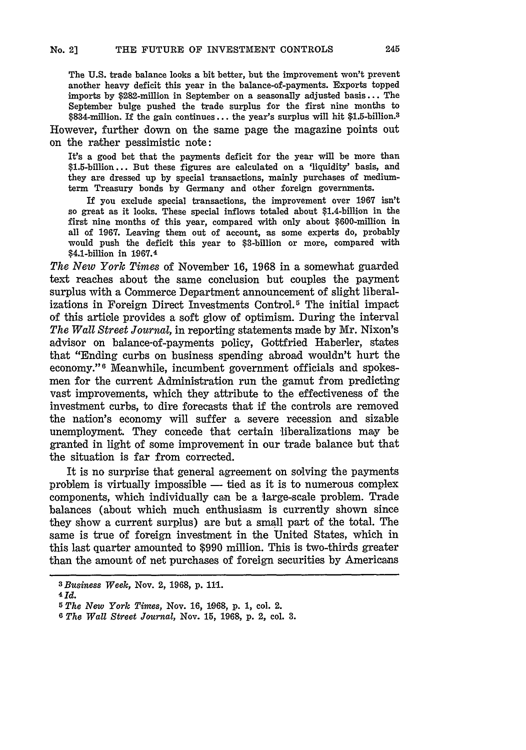The **U.S.** trade balance looks a bit better, but the improvement won't prevent another heavy deficit this year in the balance-of-payments. Exports topped imports by \$282-million in September on a seasonally adjusted basis... The September bulge pushed the trade surplus for the first nine months to \$834-million. **If** the gain continues.., the year's surplus will hit \$1.5-billion.<sup>3</sup>

However, further down on the same page the magazine points out on the rather pessimistic note:

It's a good bet that the payments deficit for the year will be more than \$1.5-billion... But these figures are calculated on a 'liquidity' basis, and they are dressed up **by** special transactions, mainly purchases of mediumterm Treasury bonds **by** Germany and other foreign governments.

If you exclude special transactions, the improvement over **1967** isn't so great as it looks. These special inflows totaled about \$1.4-billion in the first nine months of this year, compared with only about \$600-million in all of **1967.** Leaving them out of account, as some experts do, probably would push the deficit this year to \$3-billion or more, compared with \$4.1-billion in **1067.4**

*The New York Times* of November **16, 1968** in a somewhat guarded text reaches about the same conclusion but couples the payment surplus with a Commerce Department announcement of slight liberalizations in Foreign Direct Investments Control.<sup>5</sup> The initial impact of this article provides a soft glow of optimism. During the interval *The Wall Street Journal,* in reporting statements made by Mr. Nixon's advisor on balance-of-payments policy, Gottfried Haberler, states that "Ending curbs on business spending abroad wouldn't hurt the economy."6 Meanwhile, incumbent government officials and spokesmen for the current Administration run the gamut from predicting vast improvements, which they attribute to the effectiveness of the investment curbs, to dire forecasts that if the controls are removed the nation's economy will suffer a severe recession and sizable unemployment. They concede that certain liberalizations may be granted in light of some improvement in our trade balance but that the situation is far from corrected.

It is no surprise that general agreement on solving the payments problem is virtually impossible **-** tied as it is to numerous complex components, which individually can be a large-scale problem. Trade balances (about which much enthusiasm is currently shown since they show a current surplus) are but a small part of the total. The same is true of foreign investment in the United States, which in this last quarter amounted to **\$990** million. This is two-thirds greater than the amount of net purchases of foreign securities by Americans

*<sup>3</sup> Business Week,* Nov. 2, **1968, p. 111.**

**<sup>4</sup>Id.**

*<sup>5</sup> The New York Times,* Nov. **16, 1068, p. 1,** col. 2.

**<sup>6</sup>** *The Wall Street Journal,* Nov. **15,** 1968, p. 2, col. 3.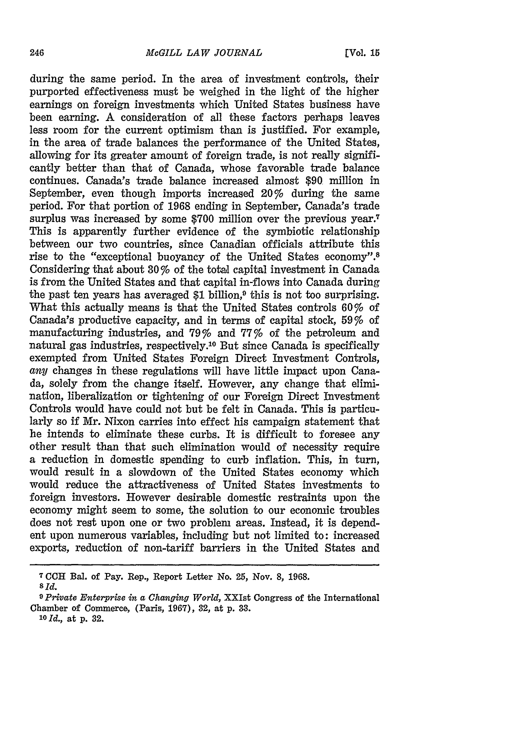during the same period. In the area of investment controls, their purported effectiveness must be weighed in the light of the higher earnings on foreign investments which United States business have been earning. A consideration of all these factors perhaps leaves less room for the current optimism than is justified. For example, in the area of trade balances the performance of the United States, allowing for its greater amount of foreign trade, is not really significantly better than that of Canada, whose favorable trade balance continues. Canada's trade balance increased almost \$90 million in September, even though imports increased 20% during the same period. For that portion of 1968 ending in September, Canada's trade surplus was increased by some \$700 million over the previous year.<sup>7</sup> This is apparently further evidence of the symbiotic relationship between our two countries, since Canadian officials attribute this rise to the "exceptional buoyancy of the United States economy".<sup>8</sup> Considering that about 30 % of the total capital investment in Canada is from the United States and that capital in-flows into Canada during the past ten years has averaged \$1 billion,<sup>9</sup> this is not too surprising. What this actually means is that the United States controls 60% of Canada's productive capacity, and in terms of capital stock, 59% of manufacturing industries, and 79% and 77% of the petroleum and natural gas industries, respectively.10 But since Canada is specifically exempted from United States Foreign Direct Investment Controls, *any* changes in these regulations will have little impact upon Canada, solely from the change itself. However, any change that elimination, liberalization or tightening of our Foreign Direct Investment Controls would have could not but be felt in Canada. This is particularly so if Mr. Nixon carries into effect his campaign statement that he intends to eliminate these curbs. It is difficult to foresee any other result than that such elimination would of necessity require a reduction in domestic spending to curb inflation. This, in turn, would result in a slowdown of the United States economy which would reduce the attractiveness of United States investments to foreign investors. However desirable domestic restraints upon the economy might seem to some, the solution to our economic troubles does not rest upon one or two problem areas. Instead, it is dependent upon numerous variables, including but not limited to: increased exports, reduction of non-tariff barriers in the United States and

**<sup>7</sup> CCH Bal.** of Pay. **Rep., Report Letter No. 25, Nov. 8, 1968.** *8id.*

*<sup>9</sup> Private Enterprise in a Changing World,* **XXIst Congress of the** International Chamber **of** Commerce, (Paris, **1967), 32, at p. 33.**

*<sup>10</sup> Id.,* **at p. 32.**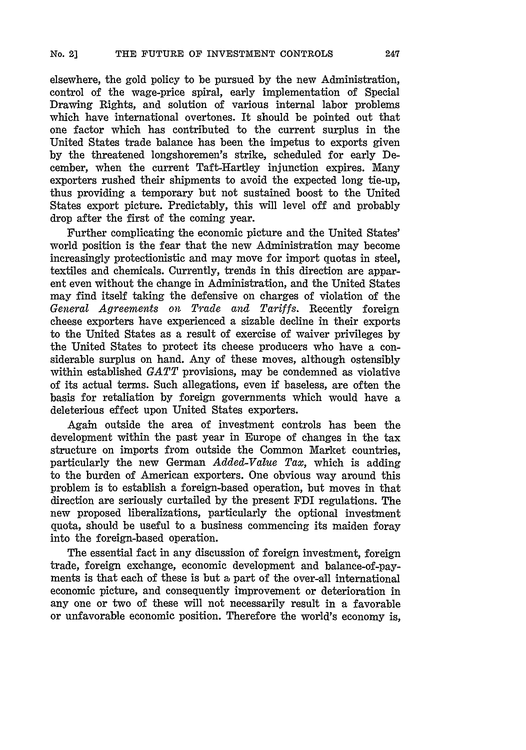elsewhere, the gold policy to be pursued by the new Administration, control of the wage-price spiral, early implementation of Special Drawing Rights, and solution of various internal labor problems which have international overtones. It should be pointed out that one factor which has contributed to the current surplus in the United States trade balance has been the impetus to exports given by the threatened longshoremen's strike, scheduled for early December, when the current Taft-Hartley injunction expires. Many exporters rushed their shipments to avoid the expected long tie-up, thus providing a temporary but not sustained boost to the United States export picture. Predictably, this will level off and probably drop after the first of the coming year.

Further complicating the economic picture and the United States' world position is the fear that the new Administration may become increasingly protectionistic and may move for import quotas in steel, textiles and chemicals. Currently, trends in this direction are apparent even without the change in Administration, and the United States may find itself taking the defensive on charges of violation of the *General Agreements on Trade and Tariffs.* Recently foreign cheese exporters have experienced a sizable decline in their exports to the United States as a result of exercise of waiver privileges by the United States to protect its cheese producers who have a considerable surplus on hand. Any of these moves, although ostensibly within established *GATT* provisions, may be condemned as violative of its actual terms. Such allegations, even if baseless, are often the basis for retaliation by foreign governments which would have a deleterious effect upon United States exporters.

Again outside the area of investment controls has been the development within the past year in Europe of changes in the tax structure on imports from outside the Common Market countries, particularly the new German *Added-Value Tax,* which is adding to the burden of American exporters. One obvious way around this problem is to establish a foreign-based operation, but moves in that direction are seriously curtailed by the present FDI regulations. The new proposed liberalizations, particularly the optional investment quota, should be useful to a business commencing its maiden foray into the foreign-based operation.

The essential fact in any discussion of foreign investment, foreign trade, foreign exchange, economic development and balance-of-payments is that each of these is but a part of the over-all international economic picture, and consequently improvement or deterioration in any one or two of these will not necessarily result in a favorable or unfavorable economic position. Therefore the world's economy is,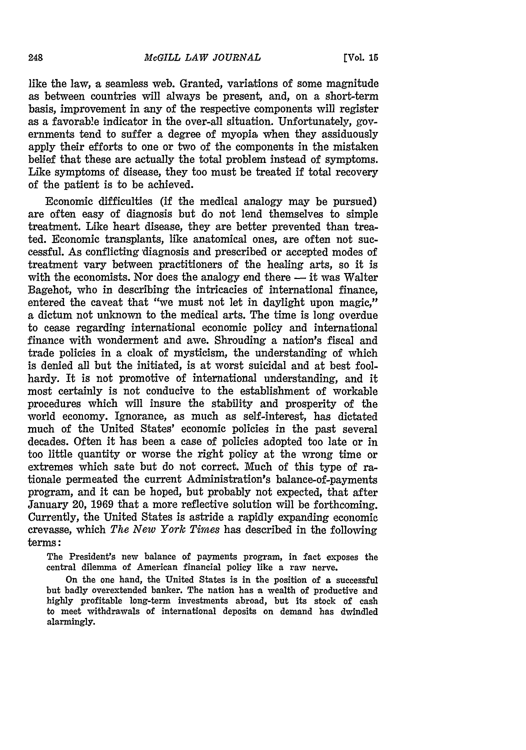like the law, a seamless web. Granted, variations of some magnitude as between countries will always be present, and, on a short-term basis, improvement in **any** of the respective components will register as a favorable indicator in the over-all situation. Unfortunately, governments tend to suffer a degree of myopia when they assiduously apply their efforts to one or two of the components in the mistaken belief that these are actually the total problem instead of symptoms. Like symptoms of disease, they too must be treated if total recovery of the patient is to be achieved.

Economic difficulties (if the medical analogy may be pursued) are often easy of diagnosis but do not lend themselves to simple treatment. Like heart disease, they are better prevented than treated. Economic transplants, like anatomical ones, are often not successful. As conflicting diagnosis and prescribed or accepted modes of treatment vary between practitioners of the healing arts, so it is with the economists. Nor does the analogy end there  $-$  it was Walter Bagehot, who in describing the intricacies of international finance, entered the caveat that "we must not let in daylight upon magic," a dictum not unknown to the medical arts. The time is long overdue to cease regarding international economic policy and international finance with wonderment and awe. Shrouding a nation's fiscal and trade policies in a cloak of mysticism, the understanding of which is denied all but the initiated, is at worst suicidal and at best foolhardy. It is not promotive of international understanding, and it most certainly is not conducive to the establishment of workable procedures which will insure the stability and prosperity of the world economy. Ignorance, as much as self-interest, has dictated much of the United States' economic policies in the past several decades. Often it has been a case of policies adopted too late or in too little quantity or worse the right policy at the wrong time or extremes which sate but do not correct. Much of this type of rationale permeated the current Administration's balance-of-payments program, and it can be hoped, but probably not expected, that after January 20, **1969** that a more reflective solution will be forthcoming. Currently, the United States is astride a rapidly expanding economic crevasse, which *The New York Times* has described in the following terms:

The President's new balance of payments program, in fact exposes the central dilemma of American financial policy like a raw nerve.

On the one hand, the United States is in the position of a successful but badly overextended banker. The nation has a wealth of productive and highly profitable long-term investments abroad, but its stock of cash to meet withdrawals of international deposits on demand has dwindled alarmingly.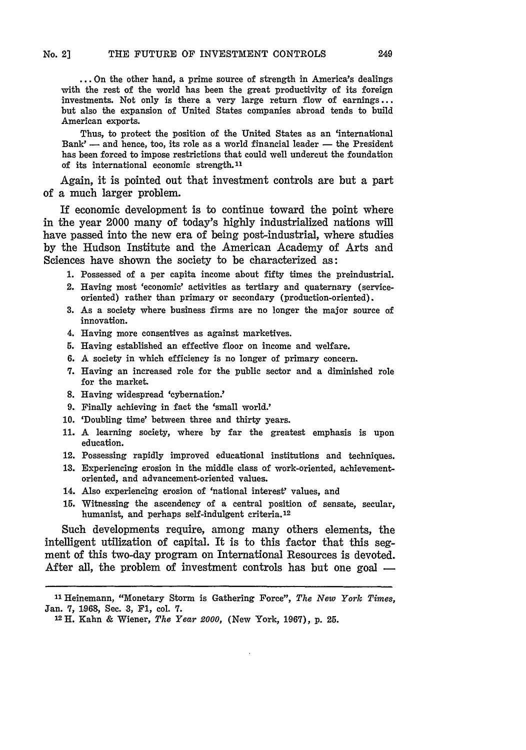**...** On the other hand, a prime source of strength in America's dealings with the rest of the world has been the great productivity of its foreign investments. Not only is there a very large return flow of earnings ... but also the expansion of United States companies abroad tends to build American exports.

Thus, to protect the position of the United States as an 'international Bank'  $-$  and hence, too, its role as a world financial leader  $-$  the President has been forced to impose restrictions that could well undercut the foundation of its international economic strength.<sup>11</sup>

Again, it is pointed out that investment controls are but a part of a much larger problem.

If economic development is to continue toward the point where in the year 2000 many of today's **highly** industrialized nations will have passed into the new era of being post-industrial, where studies **by** the Hudson Institute and the American Academy of Arts and Sciences have shown the society to be characterized as:

**1.** Possessed of a per capita income about fifty times the preindustrial.

- 2. Having most 'economic' activities as tertiary and quaternary (serviceoriented) rather than primary or secondary (production-oriented).
- **3.** As a society where business firms are no longer the major source of innovation.
- 4. Having more consentives as against marketives.
- 5. Having established an effective floor on income and welfare.
- **6.** A society in which efficiency is no longer of primary concern.
- **7.** Having an increased role for the public sector and a diminished role for the market.
- **8.** Having widespread 'cybernation.'
- **9.** Finally achieving in fact the 'small world.'
- **10.** 'Doubling time' between three and thirty years.
- **11.** A learning society, where **by** far the greatest emphasis is upon education.
- 12. Possessing rapidly improved educational institutions and techniques.
- **13.** Experiencing erosion in the middle class of work-oriented, achievementoriented, and advancement-oriented values.
- 14. Also experiencing erosion of 'national interest' values, and
- **15.** Witnessing the ascendency of a central position of sensate, secular, humanist, and perhaps self-indulgent criteria. <sup>12</sup>

Such developments require, among many others elements, the intelligent utilization of capital. It is to this factor that this segment of this two-day program on International Resources is devoted. After all, the problem of investment controls has but one goal **-**

**<sup>11</sup>**Heinemann, "Monetary Storm is Gathering Force", *The New York Times,* Jan. **7, 1968,** See. **3, F1,** col. **7.**

**<sup>12</sup>H.** Kahn **&** Wiener, *The Year 2000,* (New York, **1967), p. 25.**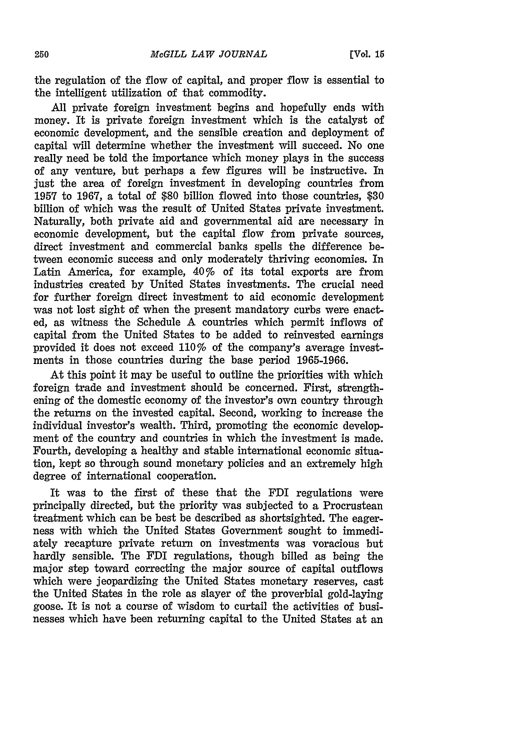the regulation of the flow of capital, and proper flow is essential to the intelligent utilization of that commodity.

All private foreign investment begins and hopefully ends with money. It is private foreign investment which is the catalyst of economic development, and the sensible creation and deployment of capital will determine whether the investment will succeed. No one really need be told the importance which money plays in the success of any venture, but perhaps a few figures will be instructive. In just the area of foreign investment in developing countries from **1957** to 1967, a total of \$80 billion flowed into those countries, \$30 billion of which was the result of United States private investment. Naturally, both private aid and governmental aid are necessary in economic development, but the capital flow from private sources, direct investment and commercial banks spells the difference between economic success and only moderately thriving economies. In Latin America, for example, 40% of its total exports are from industries created by United States investments. The crucial need for further foreign direct investment to aid economic development was not lost sight of when the present mandatory curbs were enacted, as witness the Schedule A countries which permit inflows of capital from the United States to be added to reinvested earnings provided it does not exceed 110% of the company's average investments in those countries during the base period 1965-1966.

At this point it may be useful to outline the priorities with which foreign trade and investment should be concerned. First, strengthening of the domestic economy of the investor's own country through the returns on the invested capital. Second, working to increase the individual investor's wealth. Third, promoting the economic development of the country and countries in which the investment is made. Fourth, developing a healthy and stable international economic situation, kept so through sound monetary policies and an extremely high degree of international cooperation.

It was to the first of these that the FDI regulations were principally directed, but the priority was subjected to a Procrustean treatment which can be best be described as shortsighted. The eagerness with which the United States Government sought to immediately recapture private return on investments was voracious but hardly sensible. The FDI regulations, though billed as being the major step toward correcting the major source of capital outflows which were jeopardizing the United States monetary reserves, cast the United States in the role as slayer of the proverbial gold-laying goose. It is not a course of wisdom to curtail the activities of businesses which have been returning capital to the United States at an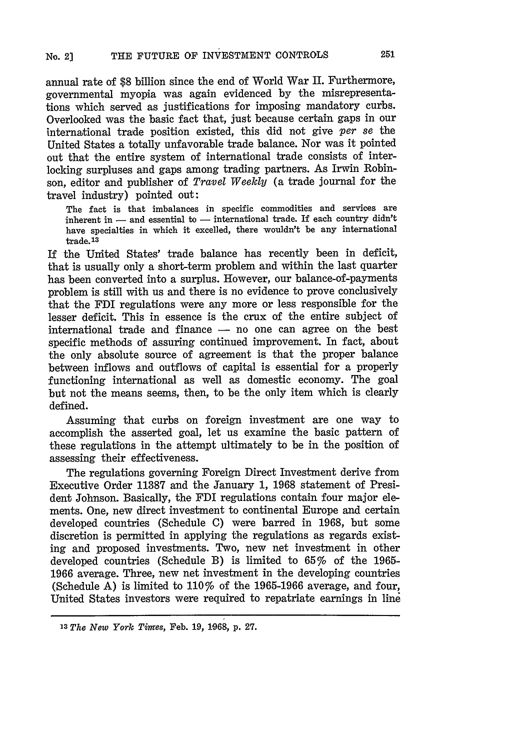annual rate of \$8 billion since the end of World War II. Furthermore, governmental myopia was again evidenced by the misrepresentations which served as justifications for imposing mandatory curbs. Overlooked was the basic fact that, just because certain gaps in our international trade position existed, this did not give *per se* the United States a totally unfavorable trade balance. Nor was it pointed out that the entire system of international trade consists of interlocking surpluses and gaps among trading partners. As Irwin Robinson, editor and publisher of *Travel Weekly* (a trade journal for the travel industry) pointed out:

The fact is that imbalances in specific commodities and services are inherent in  $-$  and essential to  $-$  international trade. If each country didn't have specialties in which it excelled, there wouldn't be any international  $trade.<sup>13</sup>$ 

If the United States' trade balance has recently been in deficit, that is usually only a short-term problem and within the last quarter has been converted into a surplus. However, our balance-of-payments problem is still with us and there is no evidence to prove conclusively that the FDI regulations were any more or less responsible for the lesser deficit. This in essence is the crux of the entire subject of  $intermational trade and finance - no one can agree on the best$ specific methods of assuring continued improvement. In fact, about the only absolute source of agreement is that the proper balance between inflows and outflows of capital is essential for a properly functioning international as well as domestic economy. The goal but not the means seems, then, to be the only item which is clearly defined.

Assuming that curbs on foreign investment are one way to accomplish the asserted goal, let us examine the basic pattern of these regulations in the attempt ultimately to be in the position of assessing their effectiveness.

The regulations governing Foreign Direct Investment derive from Executive Order **11387** and the January **1,** 1968 statement of President Johnson. Basically, the FDI regulations contain four major elements. One, new direct investment to continental Europe and certain developed countries (Schedule **C)** were barred in **1968,** but some discretion is permitted in applying the regulations as regards existing and proposed investments. Two, new net investment in other developed countries (Schedule B) is limited to 65% of the **1965- 1966** average. Three, new net investment in the developing countries (Schedule **A)** is limited to **110%** of the **1965-1966** average, and four, United States investors were required to repatriate earnings in line

*<sup>13</sup>The New York Timres,* Feb. **19,** 1-968, p. **27.**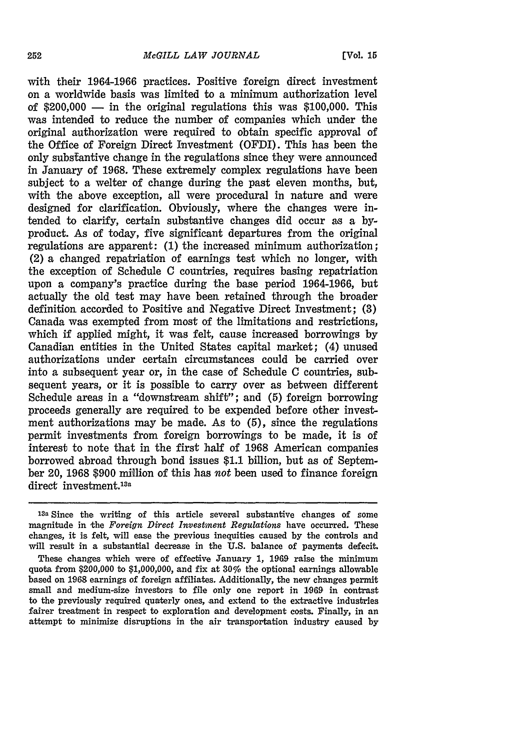with their 1964-1966 practices. Positive foreign direct investment on a worldwide basis was limited to a minimum authorization level of  $$200,000$  — in the original regulations this was  $$100,000$ . This was intended to reduce the number of companies which under the original authorization were required to obtain specific approval of the Office of Foreign Direct Investment (OFDI). This has been the only substantive change in the regulations since they were announced in January of 1968. These extremely complex regulations have been subject to a welter of change during the past eleven months, but, with the above exception, all were procedural in nature and were designed for clarification. Obviously, where the changes were intended to clarify, certain substantive changes did occur as a byproduct. As of today, five significant departures from the original regulations are apparent: **(1)** the increased minimum authorization; (2) a changed repatriation of earnings test which no longer, with the exception of Schedule C countries, requires basing repatriation upon a company's practice during the base period **1964-1966,** but actually the old test may have been retained through the broader definition accorded to Positive and Negative Direct Investment; **(3)** Canada was exempted from most of the limitations and restrictions, which if applied might, it was felt, cause increased borrowings **by** Canadian entities in the United States capital market; (4) unused authorizations under certain circumstances could be carried over into a subsequent year or, in the case of Schedule C countries, subsequent years, or it is possible to carry over as between different Schedule areas in a "downstream shift"; and **(5)** foreign borrowing proceeds generally are required to be expended before other investment authorizations may be made. As to **(5),** since the regulations permit investments from foreign borrowings to be made, it is of interest to note that in the first half of **1968** American companies borrowed abroad through bond issues **\$1.1** billion, but as of September 20, **1968 \$900** million of this has not been used to finance foreign direct investment.<sup>13a</sup>

**13a** Since the writing of this article several substantive changes of some magnitude in the *Foreign Direct Investment Regulations* have occurred. These changes, it is felt, will ease the previous inequities caused by the controls and will result in a substantial decrease in the U.S. balance of payments defecit.

These changes which were of effective January 1, 1969 raise the minimum quota from \$200,000 to \$1,000,000, and fix at  $30\%$  the optional earnings allowable based on 19,68 earnings of foreign affiliates. Additionally, the new changes permit small and medium-size investors to file only one report in **1069** in contrast to the previously required quaterly ones, and extend to the extractive industries fairer treatment in respect to exploration and development costs. Finally, in an attempt to minimize disruptions in the air transportation industry caused by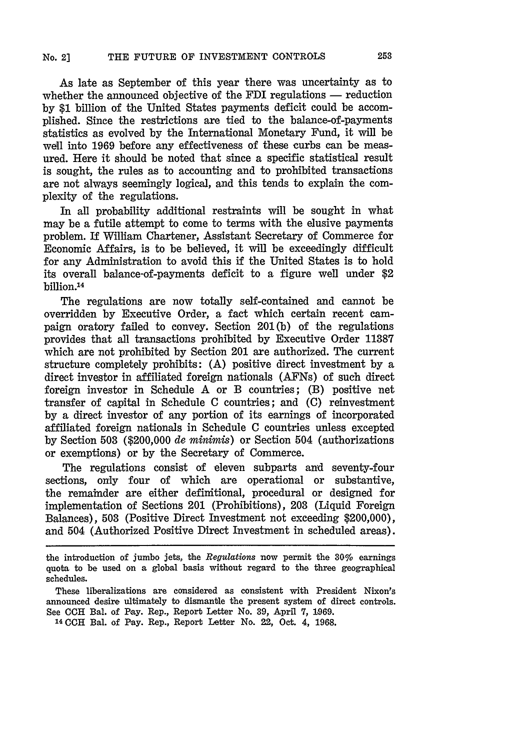As late as September of this year there was uncertainty as to whether the announced objective of the FDI regulations  $-$  reduction by \$1 billion of the United States payments deficit could be accomplished. Since the restrictions are tied to the balance-of-payments statistics as evolved by the International Monetary Fund, it will be well into 1969 before any effectiveness of these curbs can be measured. Here it should be noted that since a specific statistical result is sought, the rules as to accounting and to prohibited transactions are not always seemingly logical, and this tends to explain the complexity of the regulations.

**In** all probability additional restraints will be sought in what may be a futile attempt to come to terms with the elusive payments problem. If William Chartener, Assistant Secretary of Commerce for Economic Affairs, is to be believed, it will be exceedingly difficult for any Administration to avoid this if the United States is to hold its overall balance-of-payments deficit to a figure well under \$2 billion.<sup>14</sup>

The regulations are now totally self-contained and cannot be overridden by Executive Order, a fact which certain recent campaign oratory failed to convey. Section 201(b) of the regulations provides that all transactions prohibited by Executive Order **11387** which are not prohibited by Section 201 are authorized. The current structure completely prohibits: (A) positive direct investment by a direct investor in affiliated foreign nationals (AFNs) of such direct foreign investor in Schedule A or B countries; (B) positive net transfer of capital in Schedule C countries; and (C) reinvestment by a direct investor of any portion of its earnings of incorporated affiliated foreign nationals in Schedule C countries unless excepted by Section 503 (\$200,000 *de minimis)* or Section 504 (authorizations or exemptions) or by the Secretary of Commerce.

The regulations consist of eleven subparts and seventy-four sections, only four of which are operational or substantive, the remainder are either definitional, procedural or designed for implementation of Sections 201 (Prohibitions), 203 (Liquid Foreign Balances), **503** (Positive Direct Investment not exceeding \$200,000), and 504 (Authorized Positive Direct Investment in scheduled areas).

the introduction of jumbo jets, the *Regulations* now permit the 30% earnings quota to be used on a global basis without regard to the three geographical schedules.

These liberalizations are considered as consistent with President Nixon's announced desire ultimately to dismantle the present system of direct controls. See **CCH** Bal. of Pay. Rep., Report Letter No. 39, April **7, 1969.**

<sup>14</sup>**CCH** Bal. of Pay. Rep., Report Letter No. 22, Oct. 4, **1968.**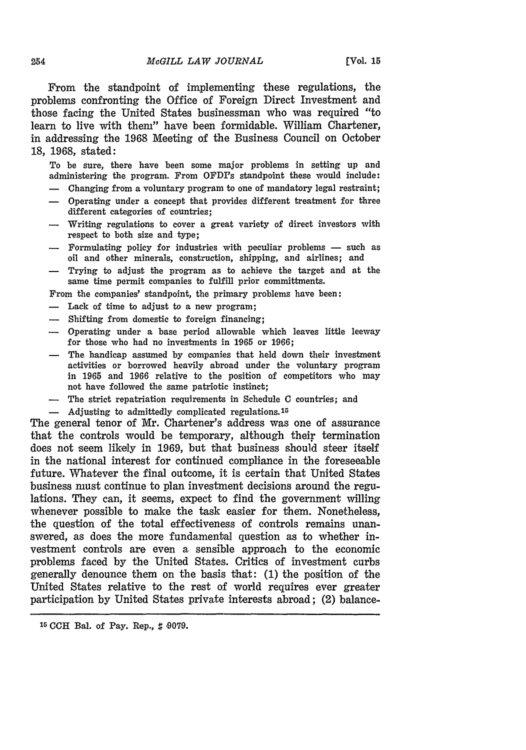From the standpoint of implementing these regulations, the problems confronting the Office of Foreign Direct Investment and those facing the United States businessman who was required "to learn to live with them" have been formidable. William Chartener, in addressing the 1968 Meeting of the Business Council on October 18, 1968, stated:

To be sure, there have been some major problems in setting up and administering the program. From OFDI's standpoint these would include:

- **-** Changing from a voluntary program to one of mandatory legal restraint;
- **-** Operating under a concept that provides different treatment for three different categories of countries;
- **-** Writing regulations to cover a great variety of direct investors with respect to both size and type;
- $-$  Formulating policy for industries with peculiar problems  $-$  such as oil and other minerals, construction, shipping, and airlines; and
- Trying to adjust the program as to achieve the target and at the same time permit companies to fulfill prior committments.

From the companies' standpoint, the primary problems have been:

- **-** Lack of time to adjust to a new program;
- **-** Shifting from domestic to foreign financing;
- **-** Operating under a base period allowable which leaves little leeway for those who had no investments in 1965 or 1966;
- **-** The handicap assumed by companies that held down their investment activities or borrowed heavily abroad under the voluntary program in 1965 and 1966 relative to the position of competitors who may not have followed the same patriotic instinct;
- **-** The strict repatriation requirements in Schedule **C** countries; and
- **-** Adjusting to admittedly complicated regulations. <sup>15</sup>

The general tenor of Mr. Chartener's address was one of assurance that the controls would be temporary, although their termination does not seem likely in 1969, but that business should steer itself in the national interest for continued compliance in the foreseeable future. Whatever the final outcome, it is certain that United States business must continue to plan investment decisions around the regulations. They can, it seems, expect to find the government willing whenever possible to make the task easier for them. Nonetheless, the question of the total effectiveness of controls remains unanswered, as does the more fundamental question as to whether investment controls are even a sensible approach to the economic problems faced by the United States. Critics of investment curbs generally denounce them on the basis that: (1) the position of the United States relative to the rest of world requires ever greater participation by United States private interests abroad; (2) balance-

254

<sup>&</sup>lt;sup>15</sup> CCH Bal. of Pay. Rep.,  $\sharp$  9079.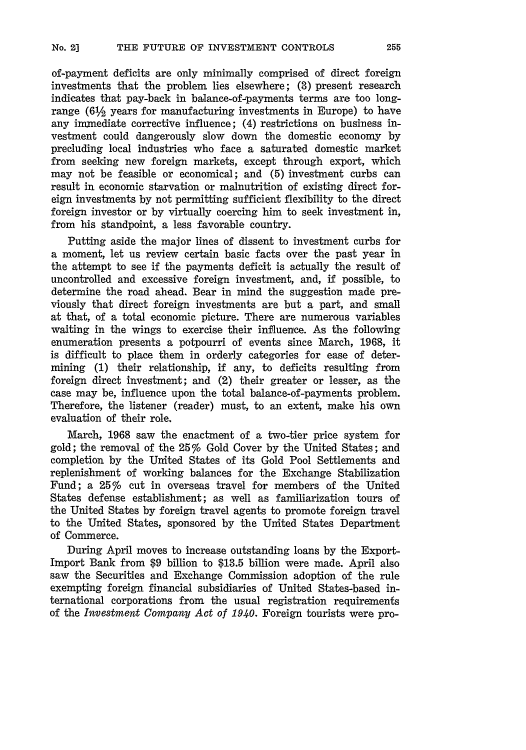of-payment deficits are only minimally comprised of direct foreign investments that the problem lies elsewhere; **(3)** present research indicates that pay-back in balance-of-payments terms are too longrange  $(6\frac{1}{2})$  years for manufacturing investments in Europe) to have any immediate corrective influence;  $(4)$  restrictions on business investment could dangerously slow down the domestic economy by precluding local industries who face a saturated domestic market from seeking new foreign markets, except through export, which may not be feasible or economical; and **(5)** investment curbs can result in economic starvation or malnutrition of existing direct foreign investments by not permitting sufficient flexibility to the direct foreign investor or by virtually coercing him to seek investment in, from his standpoint, a less favorable country.

Putting aside the major lines of dissent to investment curbs for a moment, let us review certain basic facts over the past year in the attempt to see if the payments deficit is actually the result of uncontrolled and excessive foreign investment, and, if possible, to determine the road ahead. Bear in mind the suggestion made previously that direct foreign investments are but a part, and small at that, of a total economic picture. There are numerous variables waiting in the wings to exercise their influence. As the following enumeration presents a potpourri of events since March, 1968, it is difficult to place them in orderly categories for ease of determining (1) their relationship, if any, to deficits resulting from foreign direct investment; and (2) their greater or lesser, as the case may be, influence upon the total balance-of-payments problem. Therefore, the listener (reader) must, to an extent, make his own evaluation of their role.

March, 1968 saw the enactment of a two-tier price system for gold; the removal of the 25% Gold Cover by the United States; and completion by the United States of its Gold Pool Settlements and replenishment of working balances for the Exchange Stabilization Fund; a 25% cut in overseas travel for members of the United States defense establishment; as well as familiarization tours of the United States by foreign travel agents to promote foreign travel to the United States, sponsored by the United States Department of Commerce.

During April moves to increase outstanding loans by the Export-Import Bank from \$9 billion to \$13.5 billion were made. April also saw the Securities and Exchange Commission adoption of the rule exempting foreign financial subsidiaries of United States-based international corporations from the usual registration requirements of the *Investment Company Act of 1940.* Foreign tourists were pro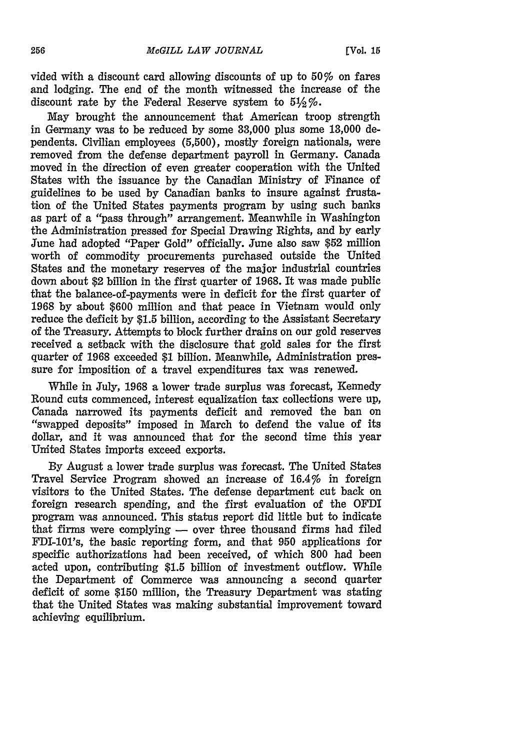vided with a discount card allowing discounts of up to 50% on fares and lodging. The end of the month witnessed the increase of the discount rate by the Federal Reserve system to  $5\frac{1}{2}\%$ 

May brought the announcement that American troop strength in Germany was to be reduced **by** some **33,000** plus some **13,000** dependents. Civilian employees **(5,500),** mostly foreign nationals, were removed from the defense department payroll in Germany. Canada moved in the direction of even greater cooperation with the United States with the issuance **by** the Canadian Ministry of Finance of guidelines to be used **by** Canadian banks to insure against frustation of the United States payments program **by** using such banks as part of a "pass through" arrangement. Meanwhile in Washington the Administration pressed for Special Drawing Rights, and **by** early June had adopted "Paper Gold" officially. June also saw **\$52** million worth of commodity procurements purchased outside the United States and the monetary reserves of the major industrial countries down about \$2 billion in the first quarter of **1968.** It was made public that the balance-of-payments were in deficit for the first quarter of **1968 by** about **\$600** million and that peace in Vietnam would only reduce the deficit by \$1.5 billion, according to the Assistant Secretary of the Treasury. Attempts to block further drains on our gold reserves received a setback with the disclosure that gold sales for the first quarter of **1968** exceeded **\$1** billion. Meanwhile, Administration pressure for imposition of a travel expenditures tax was renewed.

While in July, **1968** a lower trade surplus was forecast, Kennedy Round cuts commenced, interest equalization tax collections were up, Canada narrowed its payments deficit and removed the ban on "swapped deposits" imposed in March to defend the value of its dollar, and it was announced that for the second time this year United States imports exceed exports.

**By** August a lower trade surplus was forecast. The United States Travel Service Program showed an increase of 16.4% in foreign visitors to the United States. The defense department cut back on foreign research spending, and the first evaluation of the OFDI program was announced. This status report did little but to indicate that firms were complying  $-$  over three thousand firms had filed FDI-101's, the basic reporting form, and that **950** applications for specific authorizations had been received, of which **800** had been acted upon, contributing **\$1.5** billion of investment outflow. While the Department of Commerce was announcing a second quarter deficit of some **\$150** million, the Treasury Department was stating that the United States was making substantial improvement toward achieving equilibrium.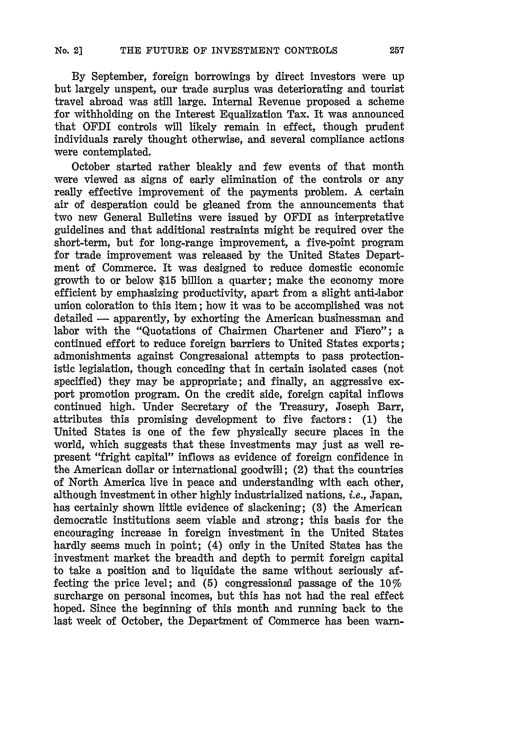By September, foreign borrowings **by** direct investors were up but largely unspent, our trade surplus was deteriorating and tourist travel abroad was still large. Internal Revenue proposed a scheme for withholding on the Interest Equalization Tax. It was announced that OFDI controls will likely remain in effect, though prudent individuals rarely thought otherwise, and several compliance actions were contemplated.

October started rather bleakly and few events of that month were viewed as signs of early elimination of the controls or any really effective improvement of the payments problem. A certain air of desperation could be gleaned from the announcements that two new General Bulletins were issued **by** OFDI as interpretative guidelines and that additional restraints might be required over the short-term, but for long-range improvement, a five-point program for trade improvement was released **by** the United States Department of Commerce. It was designed to reduce domestic economic growth to or below **\$15** billion a quarter; make the economy more efficient **by** emphasizing productivity, apart from a slight anti-labor union coloration to this item; how it was to be accomplished was not detailed - apparently, by exhorting the American businessman and labor with the "Quotations of Chairmen Chartener and Fiero"; a continued effort to reduce foreign barriers to United States exports; admonishments against Congressional attempts to pass protectionistic legislation, though conceding that in certain isolated cases (not specified) they may be appropriate; and finally, an aggressive export promotion program. On the credit side, foreign capital inflows continued high. Under Secretary of the Treasury, Joseph Barr, attributes this promising development to five factors: **(1)** the United States is one of the few physically secure places in the world, which suggests that these investments may just as well represent "fright capital" inflows as evidence of foreign confidence in the American dollar or international goodwill; (2) that the countries of North America live in peace and understanding with each other, although investment in other **highly** industrialized nations, i.e., Japan, has certainly shown little evidence of slackening; **(3)** the American democratic institutions seem viable and strong; this basis for the encouraging increase in foreign investment in the United States hardly seems much in point; (4) only in the United States has the investment market the breadth and depth to permit foreign capital to take a position and to liquidate the same without seriously affecting the price level; and **(5)** congressional passage of the 10% surcharge on personal incomes, but this has not had the real effect hoped. Since the beginning of this month and running back to the last week of October, the Department of Commerce has been warn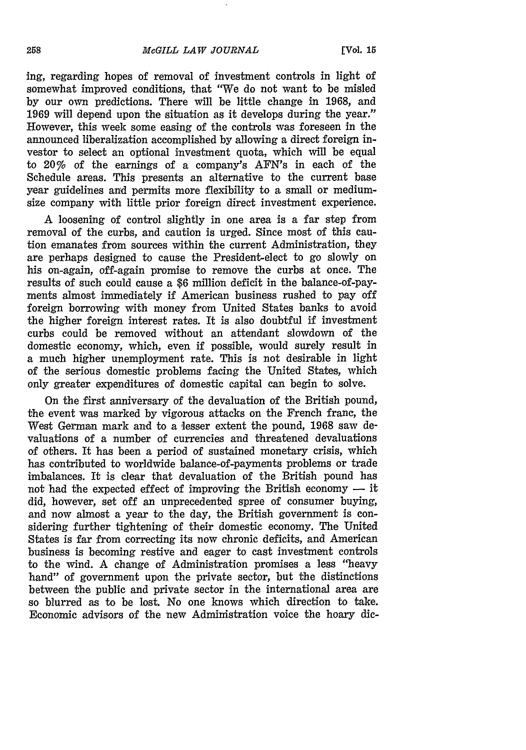ing, regarding hopes of removal of investment controls in light of somewhat improved conditions, that "We do not want to be misled **by** our own predictions. There will be little change in **1968,** and **1969** will depend upon the situation as it develops during the year." However, this week some easing of the controls was foreseen in the announced liberalization accomplished **by** allowing a direct foreign investor to select an optional investment quota, which will be equal to 20% of the earnings of a company's AFN's in each of the Schedule areas. This presents an alternative to the current base year guidelines and permits more flexibility to a small or mediumsize company with little prior foreign direct investment experience.

A loosening of control slightly in one area is a far step from removal of the curbs, and caution is urged. Since most of this caution emanates from sources within the current Administration, they are perhaps designed to cause the President-elect to go slowly on his on-again, off-again promise to remove the curbs at once. The results of such could cause a **\$6** million deficit in the balance-of-payments almost immediately if American business rushed to pay off foreign borrowing with money from United States banks to avoid the higher foreign interest rates. It is also doubtful if investment curbs could be removed without an attendant slowdown of the domestic economy, which, even if possible, would surely result in a much higher unemployment rate. This is not desirable in light of the serious domestic problems facing the United States, which only greater expenditures of domestic capital can begin to solve.

On the first anniversary of the devaluation of the British pound, the event was marked **by** vigorous attacks on the French franc, the West German mark and to a lesser extent the pound, **1968** saw devaluations of a number of currencies and threatened devaluations of others. It has been a period of sustained monetary crisis, which has contributed to worldwide balance-of-payments problems or trade imbalances. It is clear that devaluation of the British pound has not had the expected effect of improving the British economy  $-$  it did, however, set off an unprecedented spree of consumer buying, and now almost a year to the day, the British government is considering further tightening of their domestic economy. The United States is far from correcting its now chronic deficits, and American business is becoming restive and eager to cast investment controls to the wind. A change of Administration promises a less "heavy hand" of government upon the private sector, but the distinctions between the public and private sector in the international area are so blurred as to be lost. No one knows which direction to take. Economic advisors of the new Administration voice the hoary **dic-**